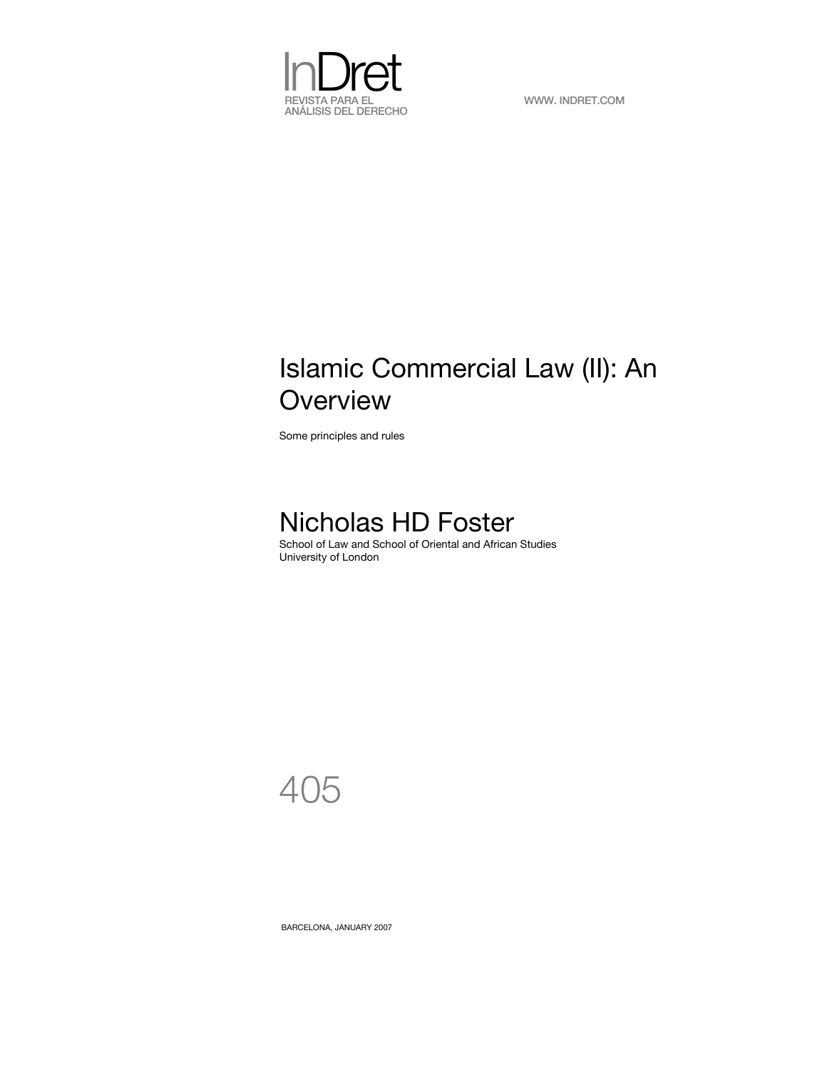

# Islamic Commercial Law (II): An **Overview**

Some principles and rules

# Nicholas HD Foster

School of Law and School of Oriental and African Studies University of London

405

BARCELONA, JANUARY 2007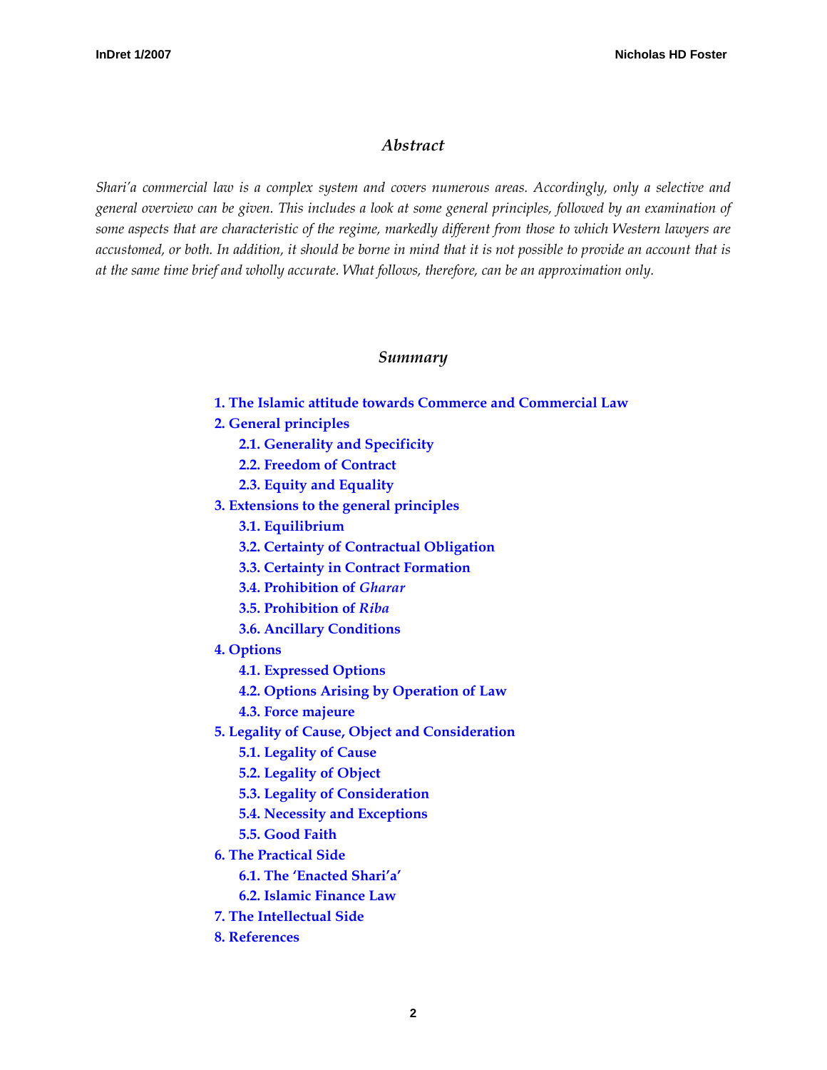## *Abstract*

*Shari'a commercial law is a complex system and covers numerous areas. Accordingly, only a selective and general overview can be given. This includes a look at some general principles, followed by an examination of some aspects that are characteristic of the regime, markedly different from those to which Western lawyers are accustomed, or both. In addition, it should be borne in mind that it is not possible to provide an account that is at the same time brief and wholly accurate. What follows, therefore, can be an approximation only.*

#### *Summary*

- **[1. The Islamic attitude towards Commerce and Commercial Law](#page-2-0)**
- **[2. General principles](#page-2-0)** 
	- **[2.1. Generality and Specificity](#page-2-0)**
	- **[2.2. Freedom of Contract](#page-3-0)**
	- **[2.3. Equity and Equality](#page-4-0)**
- **[3. Extensions to the general principles](#page-4-0)**
	- **[3.1. Equilibrium](#page-4-0)**
	- **[3.2. Certainty of Contractual Obligation](#page-4-0)**
	- **[3.3. Certainty in Contract Formation](#page-5-0)**
	- **[3.4. Prohibition of](#page-6-0)** *Gharar*
	- **[3.5. Prohibition of](#page-6-0)** *Riba*
	- **[3.6. Ancillary Conditions](#page-8-0)**
- **[4. Options](#page-9-0)**
	- **[4.1. Expressed Options](#page-9-0)**
	- **[4.2. Options Arising by Operation of Law](#page-10-0)**
	- **[4.3. Force majeure](#page-11-0)**
- **[5. Legality of Cause, Object and Consideration](#page-11-0)**
	- **[5.1. Legality of Cause](#page-11-0)**
	- **[5.2. Legality of Object](#page-11-0)**
	- **[5.3. Legality of Consideration](#page-12-0)**
	- **[5.4. Necessity and Exceptions](#page-12-0)**
	- **[5.5. Good Faith](#page-12-0)**
- **[6. The Practical Side](#page-14-0)**
	- **[6.1. The 'Enacted Shari'a'](#page-14-0)**
	- **[6.2. Islamic Finance Law](#page-15-0)**
- **[7. The Intellectual Side](#page-15-0)**
- **[8. References](#page-17-0)**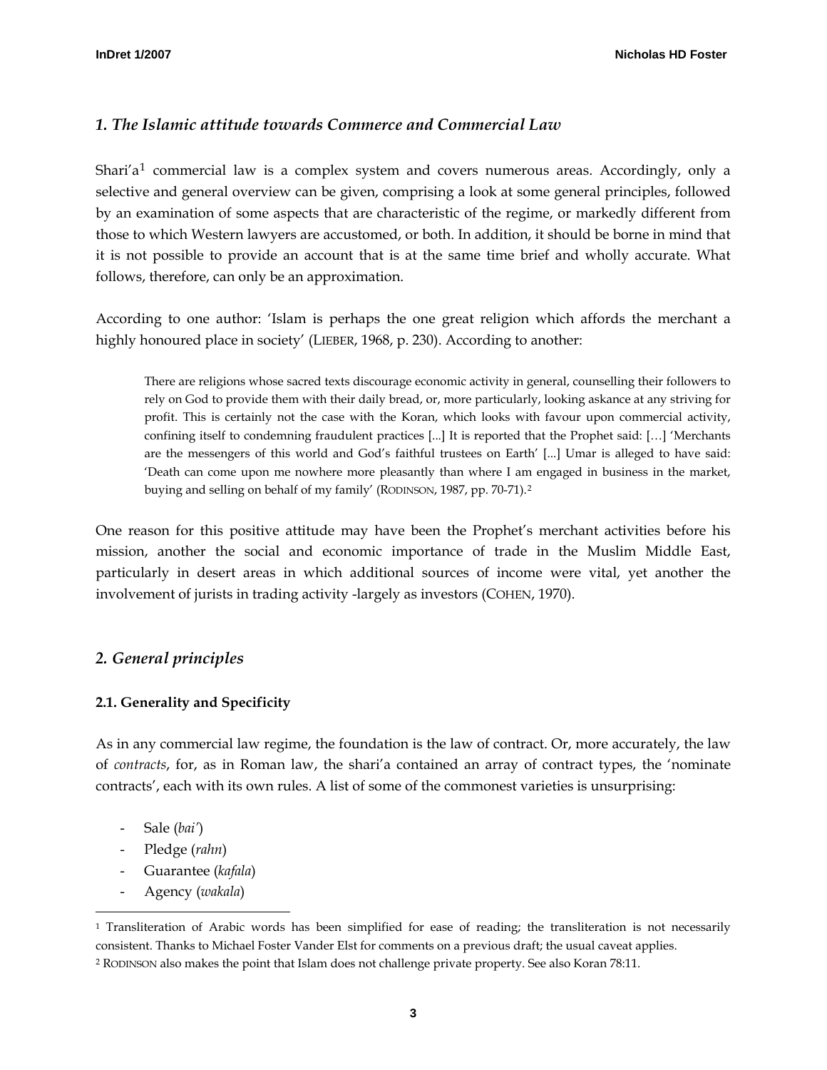# <span id="page-2-0"></span>*1. The Islamic attitude towards Commerce and Commercial Law*

Shari'a<sup>[1](#page-2-1)</sup> commercial law is a complex system and covers numerous areas. Accordingly, only a selective and general overview can be given, comprising a look at some general principles, followed by an examination of some aspects that are characteristic of the regime, or markedly different from those to which Western lawyers are accustomed, or both. In addition, it should be borne in mind that it is not possible to provide an account that is at the same time brief and wholly accurate. What follows, therefore, can only be an approximation.

According to one author: 'Islam is perhaps the one great religion which affords the merchant a highly honoured place in society' (LIEBER, 1968, p. 230). According to another:

There are religions whose sacred texts discourage economic activity in general, counselling their followers to rely on God to provide them with their daily bread, or, more particularly, looking askance at any striving for profit. This is certainly not the case with the Koran, which looks with favour upon commercial activity, confining itself to condemning fraudulent practices [...] It is reported that the Prophet said: […] 'Merchants are the messengers of this world and God's faithful trustees on Earth' [...] Umar is alleged to have said: 'Death can come upon me nowhere more pleasantly than where I am engaged in business in the market, buying and selling on behalf of my family' (RODINSON, 1987, pp. 70-71).[2](#page-2-2)

One reason for this positive attitude may have been the Prophet's merchant activities before his mission, another the social and economic importance of trade in the Muslim Middle East, particularly in desert areas in which additional sources of income were vital, yet another the involvement of jurists in trading activity -largely as investors (COHEN, 1970).

# *2. General principles*

# **2.1. Generality and Specificity**

As in any commercial law regime, the foundation is the law of contract. Or, more accurately, the law of *contracts*, for, as in Roman law, the shari'a contained an array of contract types, the 'nominate contracts', each with its own rules. A list of some of the commonest varieties is unsurprising:

- Sale (*bai'*)

-

- Pledge (*rahn*)
- Guarantee (*kafala*)
- Agency (*wakala*)

<span id="page-2-1"></span><sup>1</sup> Transliteration of Arabic words has been simplified for ease of reading; the transliteration is not necessarily consistent. Thanks to Michael Foster Vander Elst for comments on a previous draft; the usual caveat applies.

<span id="page-2-2"></span><sup>2</sup> RODINSON also makes the point that Islam does not challenge private property. See also Koran 78:11.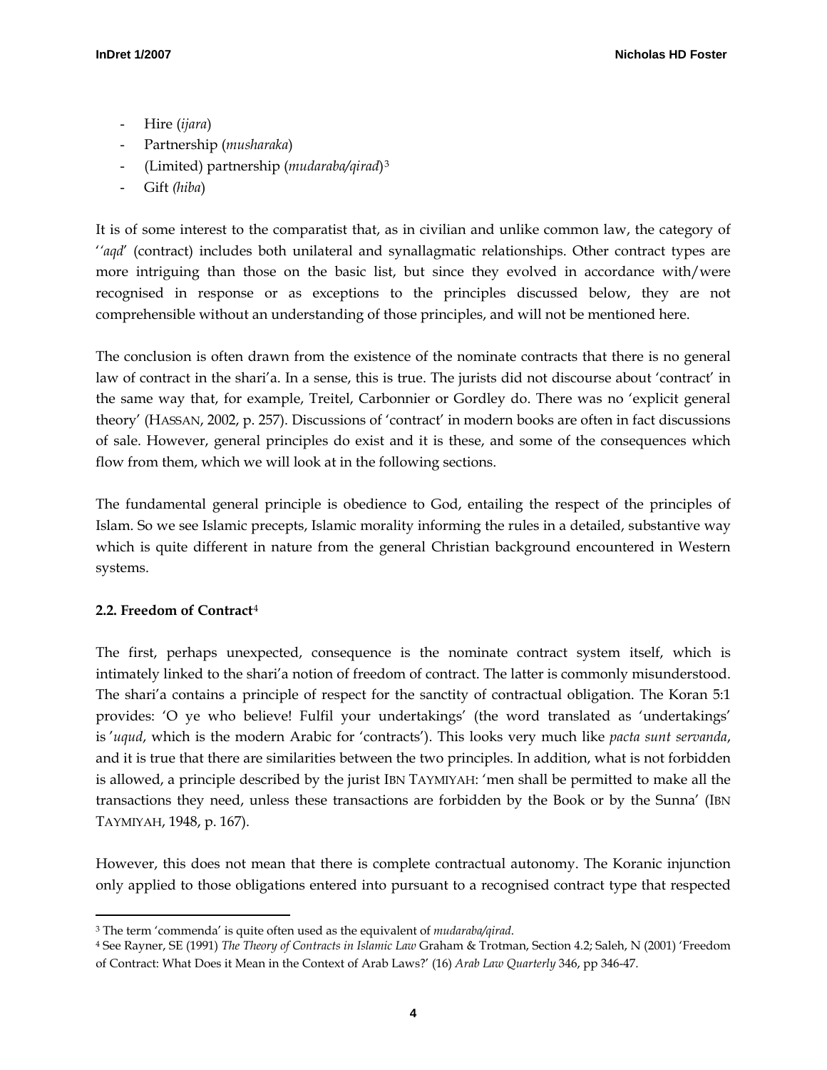- <span id="page-3-0"></span>- Hire (*ijara*)
- Partnership (*musharaka*)
- (Limited) partnership (*mudaraba/qirad*)[3](#page-3-1)
- Gift *(hiba*)

It is of some interest to the comparatist that, as in civilian and unlike common law, the category of '*'aqd*' (contract) includes both unilateral and synallagmatic relationships. Other contract types are more intriguing than those on the basic list, but since they evolved in accordance with/were recognised in response or as exceptions to the principles discussed below, they are not comprehensible without an understanding of those principles, and will not be mentioned here.

The conclusion is often drawn from the existence of the nominate contracts that there is no general law of contract in the shari'a. In a sense, this is true. The jurists did not discourse about 'contract' in the same way that, for example, Treitel, Carbonnier or Gordley do. There was no 'explicit general theory' (HASSAN, 2002, p. 257). Discussions of 'contract' in modern books are often in fact discussions of sale. However, general principles do exist and it is these, and some of the consequences which flow from them, which we will look at in the following sections.

The fundamental general principle is obedience to God, entailing the respect of the principles of Islam. So we see Islamic precepts, Islamic morality informing the rules in a detailed, substantive way which is quite different in nature from the general Christian background encountered in Western systems.

# **2.2. Freedom of Contract**[4](#page-3-2)

The first, perhaps unexpected, consequence is the nominate contract system itself, which is intimately linked to the shari'a notion of freedom of contract. The latter is commonly misunderstood. The shari'a contains a principle of respect for the sanctity of contractual obligation. The Koran 5:1 provides: 'O ye who believe! Fulfil your undertakings' (the word translated as 'undertakings' is '*uqud*, which is the modern Arabic for 'contracts'). This looks very much like *pacta sunt servanda*, and it is true that there are similarities between the two principles. In addition, what is not forbidden is allowed, a principle described by the jurist IBN TAYMIYAH: 'men shall be permitted to make all the transactions they need, unless these transactions are forbidden by the Book or by the Sunna' (IBN TAYMIYAH, 1948, p. 167).

However, this does not mean that there is complete contractual autonomy. The Koranic injunction only applied to those obligations entered into pursuant to a recognised contract type that respected

<sup>-</sup>3 The term 'commenda' is quite often used as the equivalent of *mudaraba/qirad*.

<span id="page-3-2"></span><span id="page-3-1"></span><sup>4</sup> See Rayner, SE (1991) *The Theory of Contracts in Islamic Law* Graham & Trotman, Section 4.2; Saleh, N (2001) 'Freedom of Contract: What Does it Mean in the Context of Arab Laws?' (16) *Arab Law Quarterly* 346, pp 346-47.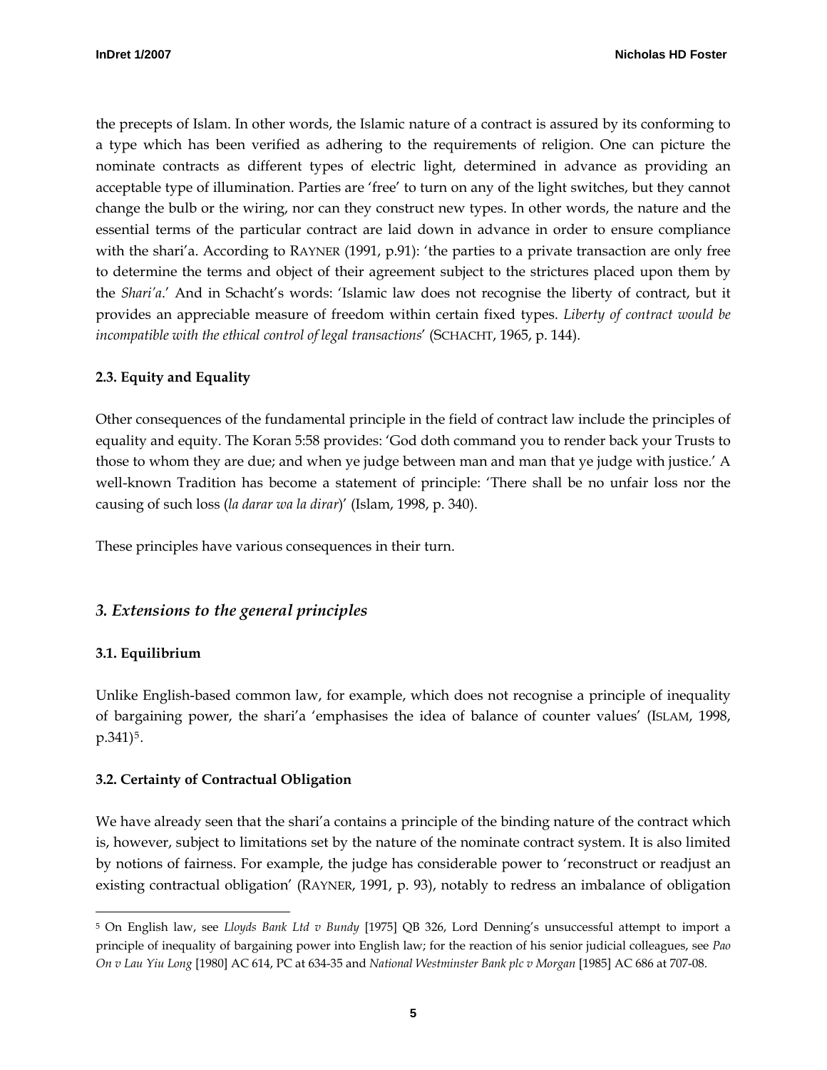<span id="page-4-0"></span>the precepts of Islam. In other words, the Islamic nature of a contract is assured by its conforming to a type which has been verified as adhering to the requirements of religion. One can picture the nominate contracts as different types of electric light, determined in advance as providing an acceptable type of illumination. Parties are 'free' to turn on any of the light switches, but they cannot change the bulb or the wiring, nor can they construct new types. In other words, the nature and the essential terms of the particular contract are laid down in advance in order to ensure compliance with the shari'a. According to RAYNER (1991, p.91): 'the parties to a private transaction are only free to determine the terms and object of their agreement subject to the strictures placed upon them by the *Shari'a*.' And in Schacht's words: 'Islamic law does not recognise the liberty of contract, but it provides an appreciable measure of freedom within certain fixed types. *Liberty of contract would be incompatible with the ethical control of legal transactions*' (SCHACHT, 1965, p. 144).

#### **2.3. Equity and Equality**

Other consequences of the fundamental principle in the field of contract law include the principles of equality and equity. The Koran 5:58 provides: 'God doth command you to render back your Trusts to those to whom they are due; and when ye judge between man and man that ye judge with justice.' A well-known Tradition has become a statement of principle: 'There shall be no unfair loss nor the causing of such loss (*la darar wa la dirar*)' (Islam, 1998, p. 340).

These principles have various consequences in their turn.

#### *3. Extensions to the general principles*

#### **3.1. Equilibrium**

-

Unlike English-based common law, for example, which does not recognise a principle of inequality of bargaining power, the shari'a 'emphasises the idea of balance of counter values' (ISLAM, 1998,  $p.341$ <sup>[5](#page-4-1)</sup>.

#### **3.2. Certainty of Contractual Obligation**

We have already seen that the shari's contains a principle of the binding nature of the contract which is, however, subject to limitations set by the nature of the nominate contract system. It is also limited by notions of fairness. For example, the judge has considerable power to 'reconstruct or readjust an existing contractual obligation' (RAYNER, 1991, p. 93), notably to redress an imbalance of obligation

<span id="page-4-1"></span><sup>5</sup> On English law, see *Lloyds Bank Ltd v Bundy* [1975] QB 326, Lord Denning's unsuccessful attempt to import a principle of inequality of bargaining power into English law; for the reaction of his senior judicial colleagues, see *Pao On v Lau Yiu Long* [1980] AC 614, PC at 634-35 and *National Westminster Bank plc v Morgan* [1985] AC 686 at 707-08.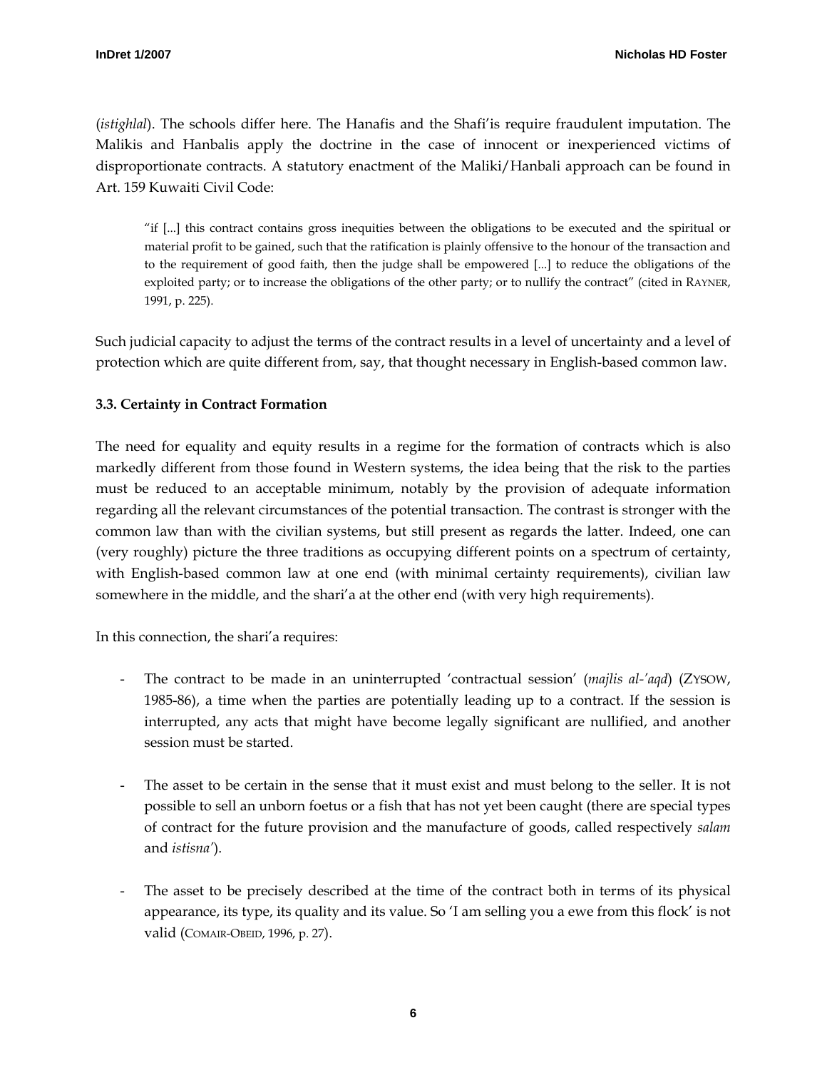<span id="page-5-0"></span>(*istighlal*). The schools differ here. The Hanafis and the Shafi'is require fraudulent imputation. The Malikis and Hanbalis apply the doctrine in the case of innocent or inexperienced victims of disproportionate contracts. A statutory enactment of the Maliki/Hanbali approach can be found in Art. 159 Kuwaiti Civil Code:

"if [...] this contract contains gross inequities between the obligations to be executed and the spiritual or material profit to be gained, such that the ratification is plainly offensive to the honour of the transaction and to the requirement of good faith, then the judge shall be empowered [...] to reduce the obligations of the exploited party; or to increase the obligations of the other party; or to nullify the contract" (cited in RAYNER, 1991, p. 225).

Such judicial capacity to adjust the terms of the contract results in a level of uncertainty and a level of protection which are quite different from, say, that thought necessary in English-based common law.

# **3.3. Certainty in Contract Formation**

The need for equality and equity results in a regime for the formation of contracts which is also markedly different from those found in Western systems, the idea being that the risk to the parties must be reduced to an acceptable minimum, notably by the provision of adequate information regarding all the relevant circumstances of the potential transaction. The contrast is stronger with the common law than with the civilian systems, but still present as regards the latter. Indeed, one can (very roughly) picture the three traditions as occupying different points on a spectrum of certainty, with English-based common law at one end (with minimal certainty requirements), civilian law somewhere in the middle, and the shari'a at the other end (with very high requirements).

In this connection, the shari'a requires:

- The contract to be made in an uninterrupted 'contractual session' (*majlis al-'aqd*) (ZYSOW, 1985-86), a time when the parties are potentially leading up to a contract. If the session is interrupted, any acts that might have become legally significant are nullified, and another session must be started.
- The asset to be certain in the sense that it must exist and must belong to the seller. It is not possible to sell an unborn foetus or a fish that has not yet been caught (there are special types of contract for the future provision and the manufacture of goods, called respectively *salam* and *istisna'*).
- The asset to be precisely described at the time of the contract both in terms of its physical appearance, its type, its quality and its value. So 'I am selling you a ewe from this flock' is not valid (COMAIR-OBEID, 1996, p. 27).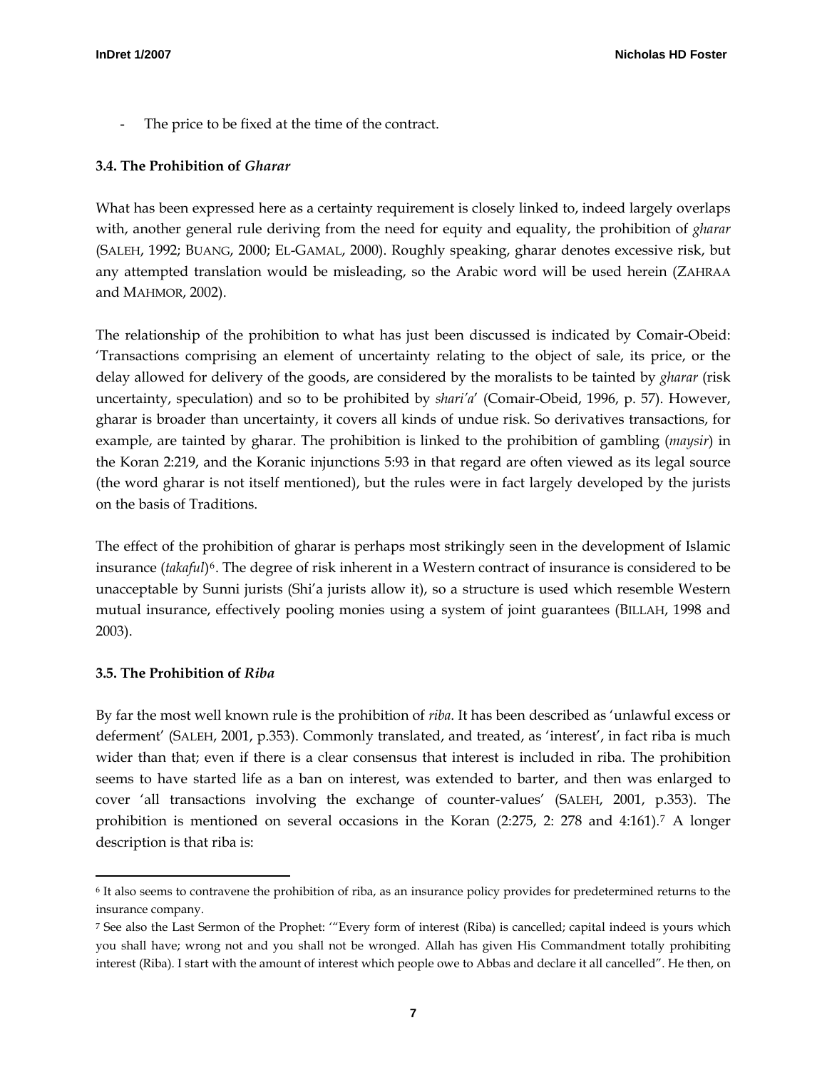<span id="page-6-0"></span>The price to be fixed at the time of the contract.

#### **3.4. The Prohibition of** *Gharar*

What has been expressed here as a certainty requirement is closely linked to, indeed largely overlaps with, another general rule deriving from the need for equity and equality, the prohibition of *gharar*  (SALEH, 1992; BUANG, 2000; EL-GAMAL, 2000). Roughly speaking, gharar denotes excessive risk, but any attempted translation would be misleading, so the Arabic word will be used herein (ZAHRAA and MAHMOR, 2002).

The relationship of the prohibition to what has just been discussed is indicated by Comair-Obeid: 'Transactions comprising an element of uncertainty relating to the object of sale, its price, or the delay allowed for delivery of the goods, are considered by the moralists to be tainted by *gharar* (risk uncertainty, speculation) and so to be prohibited by *shari'a*' (Comair-Obeid, 1996, p. 57). However, gharar is broader than uncertainty, it covers all kinds of undue risk. So derivatives transactions, for example, are tainted by gharar. The prohibition is linked to the prohibition of gambling (*maysir*) in the Koran 2:219, and the Koranic injunctions 5:93 in that regard are often viewed as its legal source (the word gharar is not itself mentioned), but the rules were in fact largely developed by the jurists on the basis of Traditions.

The effect of the prohibition of gharar is perhaps most strikingly seen in the development of Islamic insurance (*takaful*)[6](#page-6-1). The degree of risk inherent in a Western contract of insurance is considered to be unacceptable by Sunni jurists (Shi'a jurists allow it), so a structure is used which resemble Western mutual insurance, effectively pooling monies using a system of joint guarantees (BILLAH, 1998 and 2003).

#### **3.5. The Prohibition of** *Riba*

j

By far the most well known rule is the prohibition of *riba*. It has been described as 'unlawful excess or deferment' (SALEH, 2001, p.353). Commonly translated, and treated, as 'interest', in fact riba is much wider than that; even if there is a clear consensus that interest is included in riba. The prohibition seems to have started life as a ban on interest, was extended to barter, and then was enlarged to cover 'all transactions involving the exchange of counter-values' (SALEH, 2001, p.353). The prohibition is mentioned on several occasions in the Koran (2:275, 2: 278 and 4:161).[7](#page-6-2) A longer description is that riba is:

<span id="page-6-1"></span><sup>6</sup> It also seems to contravene the prohibition of riba, as an insurance policy provides for predetermined returns to the insurance company.

<span id="page-6-2"></span><sup>7</sup> See also the Last Sermon of the Prophet: '"Every form of interest (Riba) is cancelled; capital indeed is yours which you shall have; wrong not and you shall not be wronged. Allah has given His Commandment totally prohibiting interest (Riba). I start with the amount of interest which people owe to Abbas and declare it all cancelled". He then, on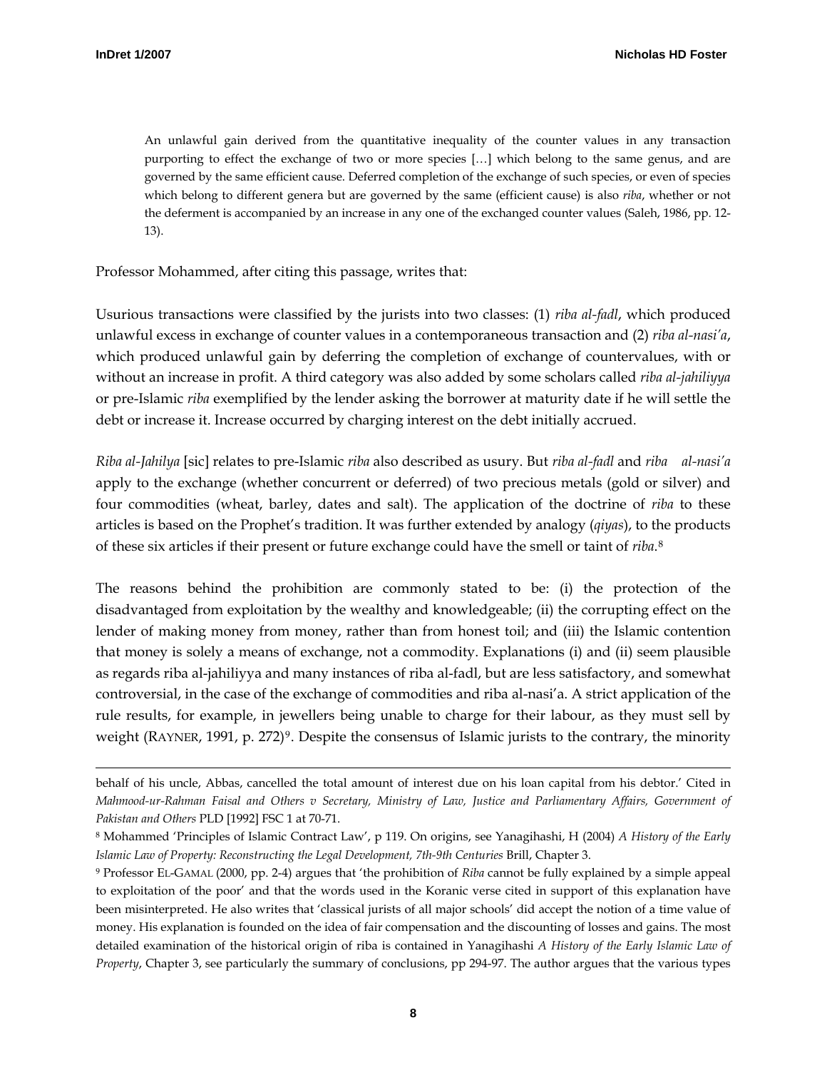$\overline{a}$ 

An unlawful gain derived from the quantitative inequality of the counter values in any transaction purporting to effect the exchange of two or more species […] which belong to the same genus, and are governed by the same efficient cause. Deferred completion of the exchange of such species, or even of species which belong to different genera but are governed by the same (efficient cause) is also *riba*, whether or not the deferment is accompanied by an increase in any one of the exchanged counter values (Saleh, 1986, pp. 12- 13).

Professor Mohammed, after citing this passage, writes that:

Usurious transactions were classified by the jurists into two classes: (1) *riba al-fadl*, which produced unlawful excess in exchange of counter values in a contemporaneous transaction and (2) *riba al-nasi'a*, which produced unlawful gain by deferring the completion of exchange of countervalues, with or without an increase in profit. A third category was also added by some scholars called *riba al-jahiliyya* or pre-Islamic *riba* exemplified by the lender asking the borrower at maturity date if he will settle the debt or increase it. Increase occurred by charging interest on the debt initially accrued.

*Riba al-Jahilya* [sic] relates to pre-Islamic *riba* also described as usury. But *riba al-fadl* and *riba al-nasi'a* apply to the exchange (whether concurrent or deferred) of two precious metals (gold or silver) and four commodities (wheat, barley, dates and salt). The application of the doctrine of *riba* to these articles is based on the Prophet's tradition. It was further extended by analogy (*qiyas*), to the products of these six articles if their present or future exchange could have the smell or taint of *riba*.[8](#page-7-0)

The reasons behind the prohibition are commonly stated to be: (i) the protection of the disadvantaged from exploitation by the wealthy and knowledgeable; (ii) the corrupting effect on the lender of making money from money, rather than from honest toil; and (iii) the Islamic contention that money is solely a means of exchange, not a commodity. Explanations (i) and (ii) seem plausible as regards riba al-jahiliyya and many instances of riba al-fadl, but are less satisfactory, and somewhat controversial, in the case of the exchange of commodities and riba al-nasi'a. A strict application of the rule results, for example, in jewellers being unable to charge for their labour, as they must sell by weight (RAYNER, 1[9](#page-7-1)91, p. 272)<sup>9</sup>. Despite the consensus of Islamic jurists to the contrary, the minority

behalf of his uncle, Abbas, cancelled the total amount of interest due on his loan capital from his debtor.' Cited in *Mahmood-ur-Rahman Faisal and Others v Secretary, Ministry of Law, Justice and Parliamentary Affairs, Government of Pakistan and Others* PLD [1992] FSC 1 at 70-71.

<span id="page-7-0"></span><sup>8</sup> Mohammed 'Principles of Islamic Contract Law', p 119. On origins, see Yanagihashi, H (2004) *A History of the Early Islamic Law of Property: Reconstructing the Legal Development, 7th-9th Centuries* Brill, Chapter 3.

<span id="page-7-1"></span><sup>9</sup> Professor EL-GAMAL (2000, pp. 2-4) argues that 'the prohibition of *Riba* cannot be fully explained by a simple appeal to exploitation of the poor' and that the words used in the Koranic verse cited in support of this explanation have been misinterpreted. He also writes that 'classical jurists of all major schools' did accept the notion of a time value of money. His explanation is founded on the idea of fair compensation and the discounting of losses and gains. The most detailed examination of the historical origin of riba is contained in Yanagihashi *A History of the Early Islamic Law of Property*, Chapter 3, see particularly the summary of conclusions, pp 294-97. The author argues that the various types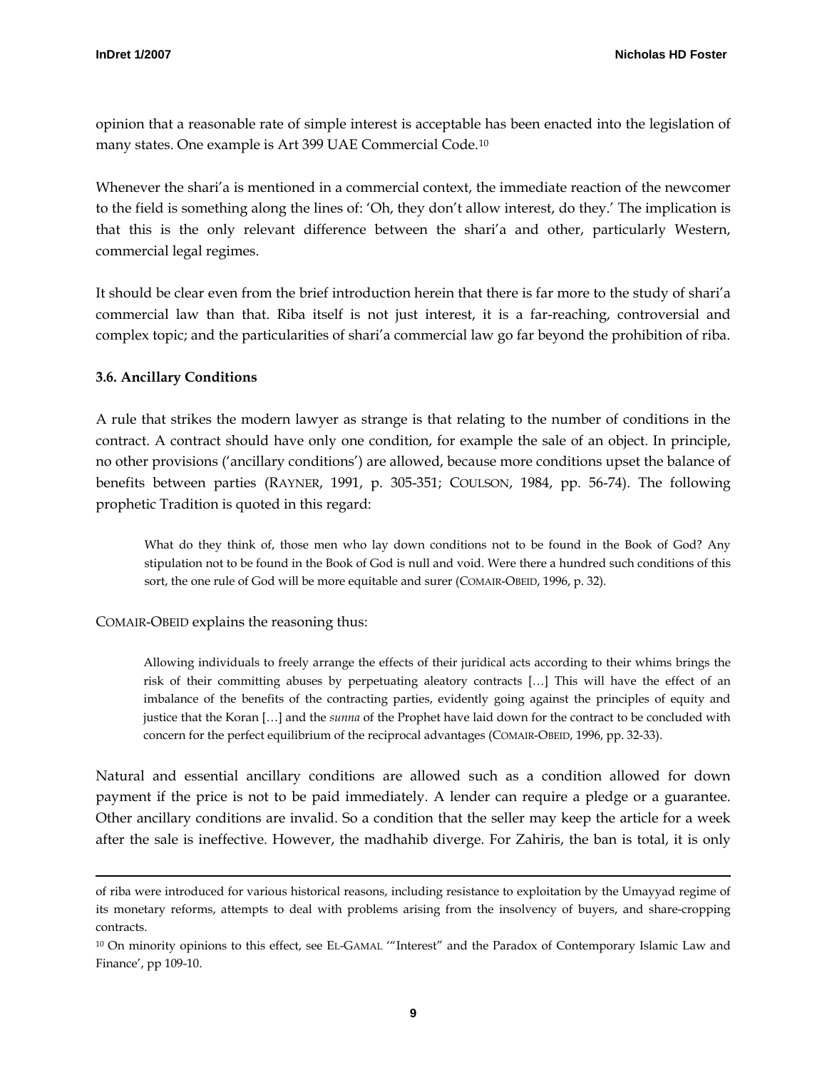<span id="page-8-0"></span>opinion that a reasonable rate of simple interest is acceptable has been enacted into the legislation of many states. One example is Art 399 UAE Commercial Code.[10](#page-8-1)

Whenever the shari'a is mentioned in a commercial context, the immediate reaction of the newcomer to the field is something along the lines of: 'Oh, they don't allow interest, do they.' The implication is that this is the only relevant difference between the shari'a and other, particularly Western, commercial legal regimes.

It should be clear even from the brief introduction herein that there is far more to the study of shari'a commercial law than that. Riba itself is not just interest, it is a far-reaching, controversial and complex topic; and the particularities of shari'a commercial law go far beyond the prohibition of riba.

#### **3.6. Ancillary Conditions**

j

A rule that strikes the modern lawyer as strange is that relating to the number of conditions in the contract. A contract should have only one condition, for example the sale of an object. In principle, no other provisions ('ancillary conditions') are allowed, because more conditions upset the balance of benefits between parties (RAYNER, 1991, p. 305-351; COULSON, 1984, pp. 56-74). The following prophetic Tradition is quoted in this regard:

What do they think of, those men who lay down conditions not to be found in the Book of God? Any stipulation not to be found in the Book of God is null and void. Were there a hundred such conditions of this sort, the one rule of God will be more equitable and surer (COMAIR-OBEID, 1996, p. 32).

#### COMAIR-OBEID explains the reasoning thus:

Allowing individuals to freely arrange the effects of their juridical acts according to their whims brings the risk of their committing abuses by perpetuating aleatory contracts […] This will have the effect of an imbalance of the benefits of the contracting parties, evidently going against the principles of equity and justice that the Koran […] and the *sunna* of the Prophet have laid down for the contract to be concluded with concern for the perfect equilibrium of the reciprocal advantages (COMAIR-OBEID, 1996, pp. 32-33).

Natural and essential ancillary conditions are allowed such as a condition allowed for down payment if the price is not to be paid immediately. A lender can require a pledge or a guarantee. Other ancillary conditions are invalid. So a condition that the seller may keep the article for a week after the sale is ineffective. However, the madhahib diverge. For Zahiris, the ban is total, it is only

of riba were introduced for various historical reasons, including resistance to exploitation by the Umayyad regime of its monetary reforms, attempts to deal with problems arising from the insolvency of buyers, and share-cropping contracts.

<span id="page-8-1"></span><sup>10</sup> On minority opinions to this effect, see EL-GAMAL '"Interest" and the Paradox of Contemporary Islamic Law and Finance', pp 109-10.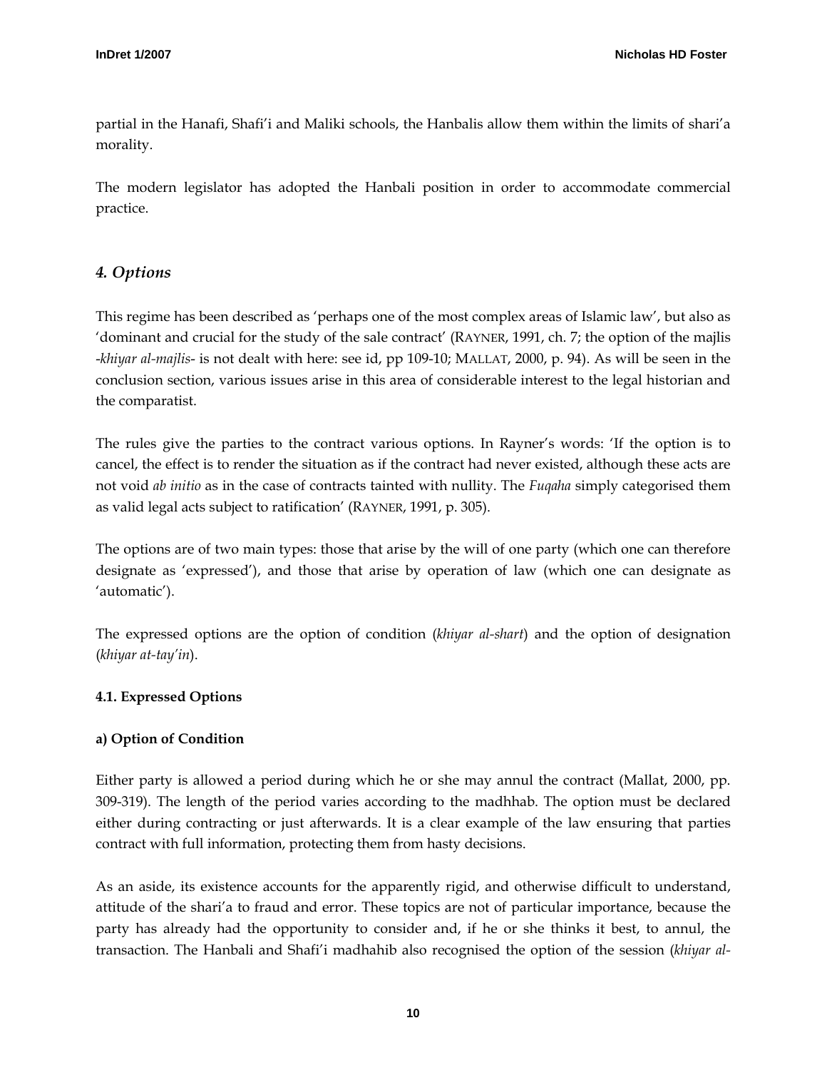<span id="page-9-0"></span>partial in the Hanafi, Shafi'i and Maliki schools, the Hanbalis allow them within the limits of shari'a morality.

The modern legislator has adopted the Hanbali position in order to accommodate commercial practice.

# *4. Options*

This regime has been described as 'perhaps one of the most complex areas of Islamic law', but also as 'dominant and crucial for the study of the sale contract' (RAYNER, 1991, ch. 7; the option of the majlis -*khiyar al-majlis*- is not dealt with here: see id, pp 109-10; MALLAT, 2000, p. 94). As will be seen in the conclusion section, various issues arise in this area of considerable interest to the legal historian and the comparatist.

The rules give the parties to the contract various options. In Rayner's words: 'If the option is to cancel, the effect is to render the situation as if the contract had never existed, although these acts are not void *ab initio* as in the case of contracts tainted with nullity. The *Fuqaha* simply categorised them as valid legal acts subject to ratification' (RAYNER, 1991, p. 305).

The options are of two main types: those that arise by the will of one party (which one can therefore designate as 'expressed'), and those that arise by operation of law (which one can designate as 'automatic').

The expressed options are the option of condition (*khiyar al-shart*) and the option of designation (*khiyar at-tay'in*).

# **4.1. Expressed Options**

# **a) Option of Condition**

Either party is allowed a period during which he or she may annul the contract (Mallat, 2000, pp. 309-319). The length of the period varies according to the madhhab. The option must be declared either during contracting or just afterwards. It is a clear example of the law ensuring that parties contract with full information, protecting them from hasty decisions.

As an aside, its existence accounts for the apparently rigid, and otherwise difficult to understand, attitude of the shari'a to fraud and error. These topics are not of particular importance, because the party has already had the opportunity to consider and, if he or she thinks it best, to annul, the transaction. The Hanbali and Shafi'i madhahib also recognised the option of the session (*khiyar al-*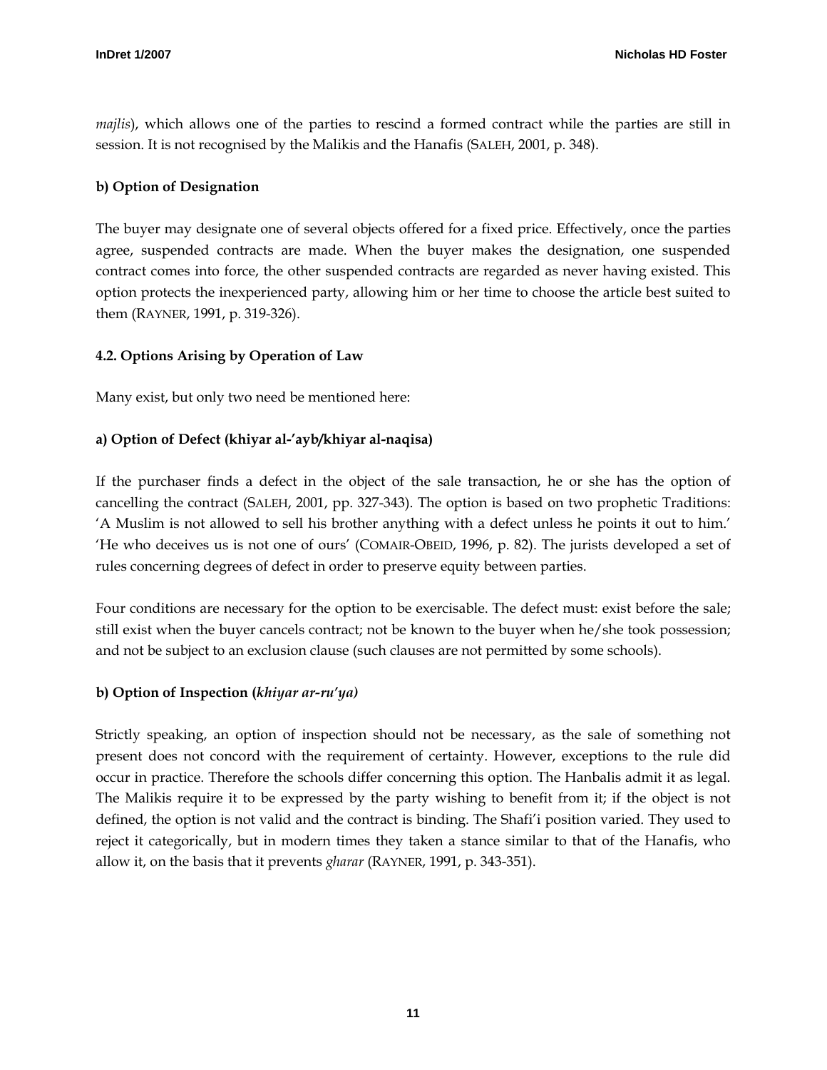<span id="page-10-0"></span>*majlis*), which allows one of the parties to rescind a formed contract while the parties are still in session. It is not recognised by the Malikis and the Hanafis (SALEH, 2001, p. 348).

## **b) Option of Designation**

The buyer may designate one of several objects offered for a fixed price. Effectively, once the parties agree, suspended contracts are made. When the buyer makes the designation, one suspended contract comes into force, the other suspended contracts are regarded as never having existed. This option protects the inexperienced party, allowing him or her time to choose the article best suited to them (RAYNER, 1991, p. 319-326).

## **4.2. Options Arising by Operation of Law**

Many exist, but only two need be mentioned here:

# **a) Option of Defect (khiyar al-'ayb/khiyar al-naqisa)**

If the purchaser finds a defect in the object of the sale transaction, he or she has the option of cancelling the contract (SALEH, 2001, pp. 327-343). The option is based on two prophetic Traditions: 'A Muslim is not allowed to sell his brother anything with a defect unless he points it out to him.' 'He who deceives us is not one of ours' (COMAIR-OBEID, 1996, p. 82). The jurists developed a set of rules concerning degrees of defect in order to preserve equity between parties.

Four conditions are necessary for the option to be exercisable. The defect must: exist before the sale; still exist when the buyer cancels contract; not be known to the buyer when he/she took possession; and not be subject to an exclusion clause (such clauses are not permitted by some schools).

#### **b) Option of Inspection (***khiyar ar-ru'ya)*

Strictly speaking, an option of inspection should not be necessary, as the sale of something not present does not concord with the requirement of certainty. However, exceptions to the rule did occur in practice. Therefore the schools differ concerning this option. The Hanbalis admit it as legal. The Malikis require it to be expressed by the party wishing to benefit from it; if the object is not defined, the option is not valid and the contract is binding. The Shafi'i position varied. They used to reject it categorically, but in modern times they taken a stance similar to that of the Hanafis, who allow it, on the basis that it prevents *gharar* (RAYNER, 1991, p. 343-351).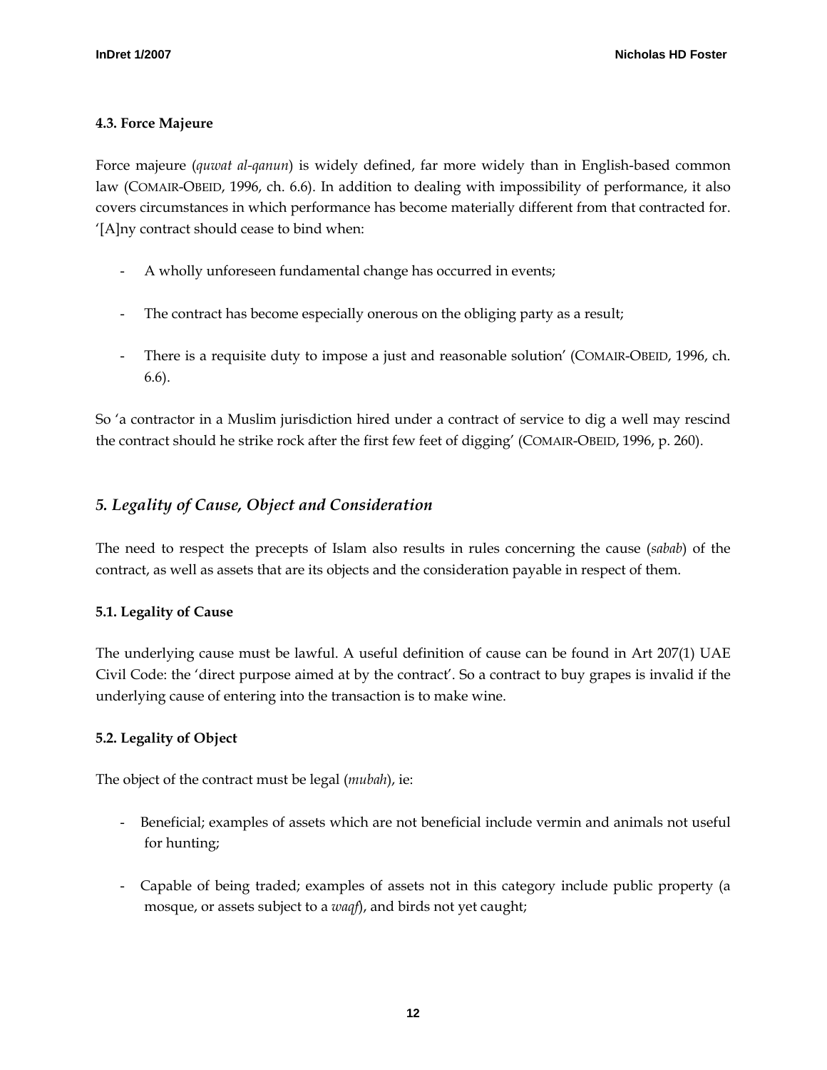## <span id="page-11-0"></span>**4.3. Force Majeure**

Force majeure (*quwat al-qanun*) is widely defined, far more widely than in English-based common law (COMAIR-OBEID, 1996, ch. 6.6). In addition to dealing with impossibility of performance, it also covers circumstances in which performance has become materially different from that contracted for. '[A]ny contract should cease to bind when:

- A wholly unforeseen fundamental change has occurred in events;
- The contract has become especially onerous on the obliging party as a result;
- There is a requisite duty to impose a just and reasonable solution' (COMAIR-OBEID, 1996, ch. 6.6).

So 'a contractor in a Muslim jurisdiction hired under a contract of service to dig a well may rescind the contract should he strike rock after the first few feet of digging' (COMAIR-OBEID, 1996, p. 260).

# *5. Legality of Cause, Object and Consideration*

The need to respect the precepts of Islam also results in rules concerning the cause (*sabab*) of the contract, as well as assets that are its objects and the consideration payable in respect of them.

# **5.1. Legality of Cause**

The underlying cause must be lawful. A useful definition of cause can be found in Art 207(1) UAE Civil Code: the 'direct purpose aimed at by the contract'. So a contract to buy grapes is invalid if the underlying cause of entering into the transaction is to make wine.

# **5.2. Legality of Object**

The object of the contract must be legal (*mubah*), ie:

- Beneficial; examples of assets which are not beneficial include vermin and animals not useful for hunting;
- Capable of being traded; examples of assets not in this category include public property (a mosque, or assets subject to a *waqf*), and birds not yet caught;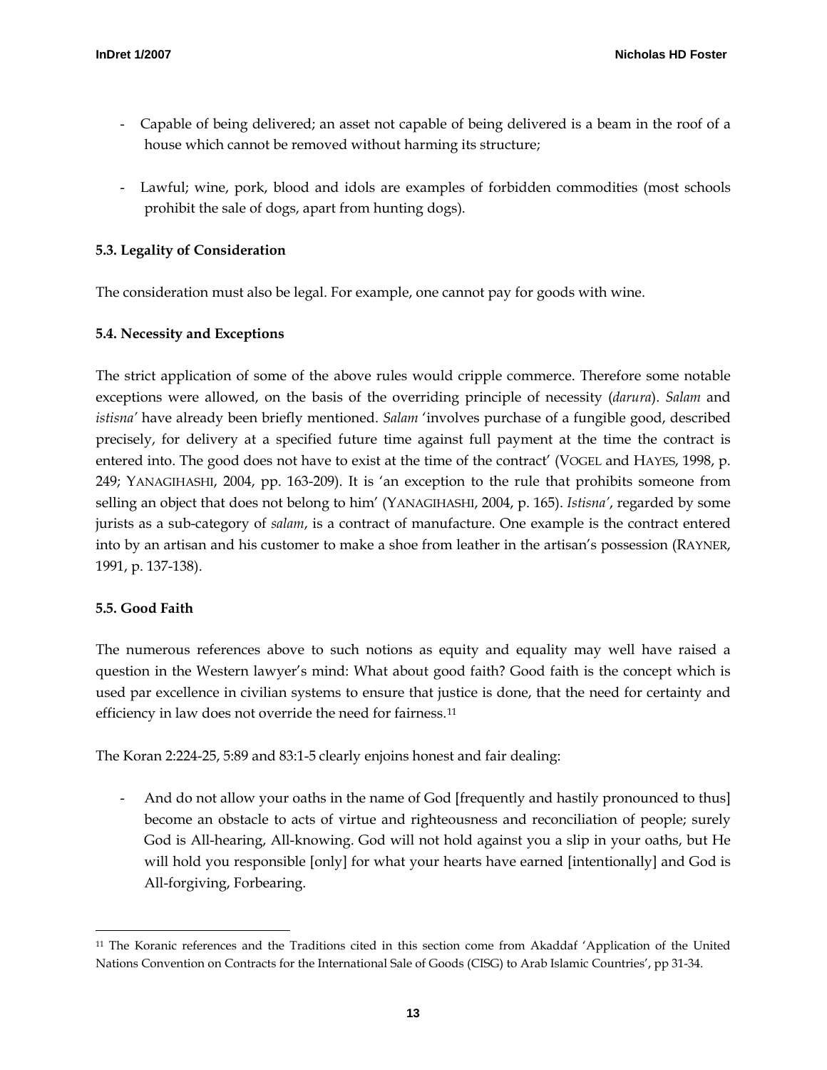- <span id="page-12-0"></span>- Capable of being delivered; an asset not capable of being delivered is a beam in the roof of a house which cannot be removed without harming its structure;
- Lawful; wine, pork, blood and idols are examples of forbidden commodities (most schools prohibit the sale of dogs, apart from hunting dogs).

### **5.3. Legality of Consideration**

The consideration must also be legal. For example, one cannot pay for goods with wine.

## **5.4. Necessity and Exceptions**

The strict application of some of the above rules would cripple commerce. Therefore some notable exceptions were allowed, on the basis of the overriding principle of necessity (*darura*). *Salam* and *istisna'* have already been briefly mentioned. *Salam* 'involves purchase of a fungible good, described precisely, for delivery at a specified future time against full payment at the time the contract is entered into. The good does not have to exist at the time of the contract' (VOGEL and HAYES, 1998, p. 249; YANAGIHASHI, 2004, pp. 163-209). It is 'an exception to the rule that prohibits someone from selling an object that does not belong to him' (YANAGIHASHI, 2004, p. 165). *Istisna'*, regarded by some jurists as a sub-category of *salam*, is a contract of manufacture. One example is the contract entered into by an artisan and his customer to make a shoe from leather in the artisan's possession (RAYNER, 1991, p. 137-138).

#### **5.5. Good Faith**

 $\overline{a}$ 

The numerous references above to such notions as equity and equality may well have raised a question in the Western lawyer's mind: What about good faith? Good faith is the concept which is used par excellence in civilian systems to ensure that justice is done, that the need for certainty and efficiency in law does not override the need for fairness.<sup>[11](#page-12-1)</sup>

The Koran 2:224-25, 5:89 and 83:1-5 clearly enjoins honest and fair dealing:

And do not allow your oaths in the name of God [frequently and hastily pronounced to thus] become an obstacle to acts of virtue and righteousness and reconciliation of people; surely God is All-hearing, All-knowing. God will not hold against you a slip in your oaths, but He will hold you responsible [only] for what your hearts have earned [intentionally] and God is All-forgiving, Forbearing.

<span id="page-12-1"></span><sup>11</sup> The Koranic references and the Traditions cited in this section come from Akaddaf 'Application of the United Nations Convention on Contracts for the International Sale of Goods (CISG) to Arab Islamic Countries', pp 31-34.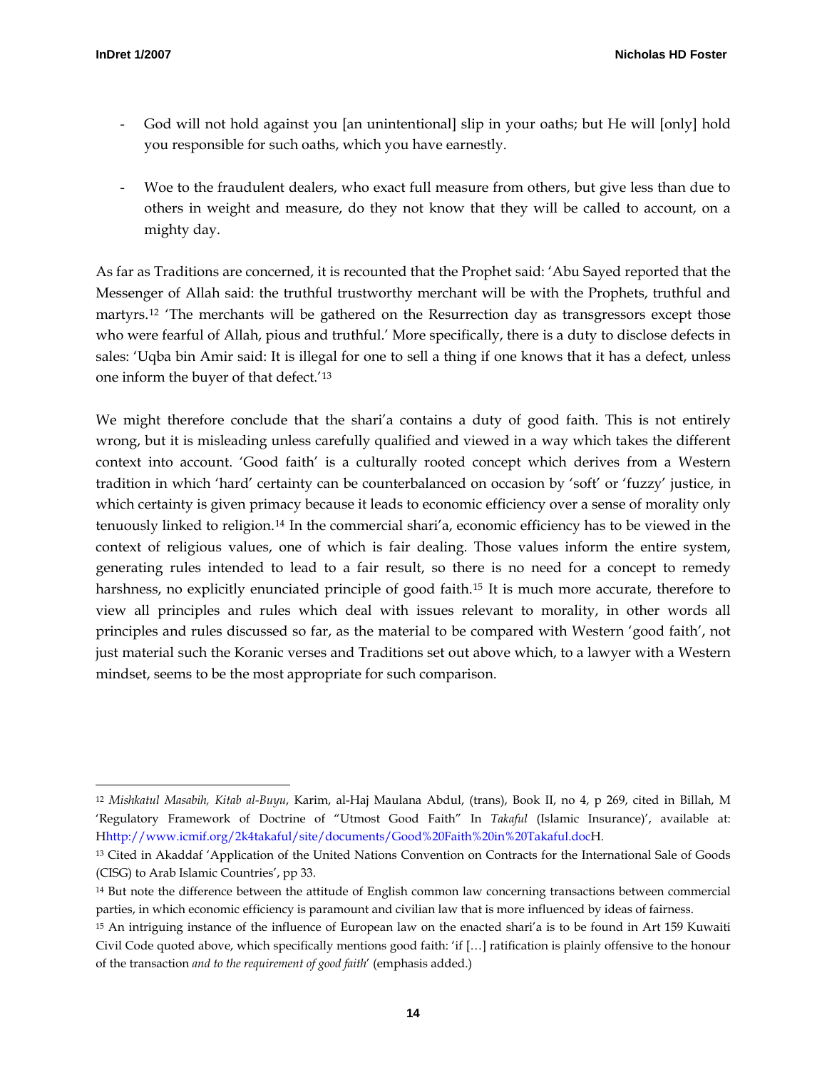j

- God will not hold against you [an unintentional] slip in your oaths; but He will [only] hold you responsible for such oaths, which you have earnestly.
- Woe to the fraudulent dealers, who exact full measure from others, but give less than due to others in weight and measure, do they not know that they will be called to account, on a mighty day.

As far as Traditions are concerned, it is recounted that the Prophet said: 'Abu Sayed reported that the Messenger of Allah said: the truthful trustworthy merchant will be with the Prophets, truthful and martyrs.<sup>[12](#page-13-0)</sup> The merchants will be gathered on the Resurrection day as transgressors except those who were fearful of Allah, pious and truthful.' More specifically, there is a duty to disclose defects in sales: 'Uqba bin Amir said: It is illegal for one to sell a thing if one knows that it has a defect, unless one inform the buyer of that defect.'[13](#page-13-1)

We might therefore conclude that the shari'a contains a duty of good faith. This is not entirely wrong, but it is misleading unless carefully qualified and viewed in a way which takes the different context into account. 'Good faith' is a culturally rooted concept which derives from a Western tradition in which 'hard' certainty can be counterbalanced on occasion by 'soft' or 'fuzzy' justice, in which certainty is given primacy because it leads to economic efficiency over a sense of morality only tenuously linked to religion.[14](#page-13-2) In the commercial shari'a, economic efficiency has to be viewed in the context of religious values, one of which is fair dealing. Those values inform the entire system, generating rules intended to lead to a fair result, so there is no need for a concept to remedy harshness, no explicitly enunciated principle of good faith.[15](#page-13-3) It is much more accurate, therefore to view all principles and rules which deal with issues relevant to morality, in other words all principles and rules discussed so far, as the material to be compared with Western 'good faith', not just material such the Koranic verses and Traditions set out above which, to a lawyer with a Western mindset, seems to be the most appropriate for such comparison.

<span id="page-13-0"></span><sup>12</sup> *Mishkatul Masabih, Kitab al-Buyu*, Karim, al-Haj Maulana Abdul, (trans), Book II, no 4, p 269, cited in Billah, M 'Regulatory Framework of Doctrine of "Utmost Good Faith" In *Takaful* (Islamic Insurance)', available at: Hhttp://www.icmif.org/2k4takaful/site/documents/Good%20Faith%20in%20Takaful.docH.

<span id="page-13-1"></span><sup>&</sup>lt;sup>13</sup> Cited in Akaddaf 'Application of the United Nations Convention on Contracts for the International Sale of Goods (CISG) to Arab Islamic Countries', pp 33.

<span id="page-13-2"></span><sup>14</sup> But note the difference between the attitude of English common law concerning transactions between commercial parties, in which economic efficiency is paramount and civilian law that is more influenced by ideas of fairness.

<span id="page-13-3"></span><sup>15</sup> An intriguing instance of the influence of European law on the enacted shari'a is to be found in Art 159 Kuwaiti Civil Code quoted above, which specifically mentions good faith: 'if […] ratification is plainly offensive to the honour of the transaction *and to the requirement of good faith*' (emphasis added.)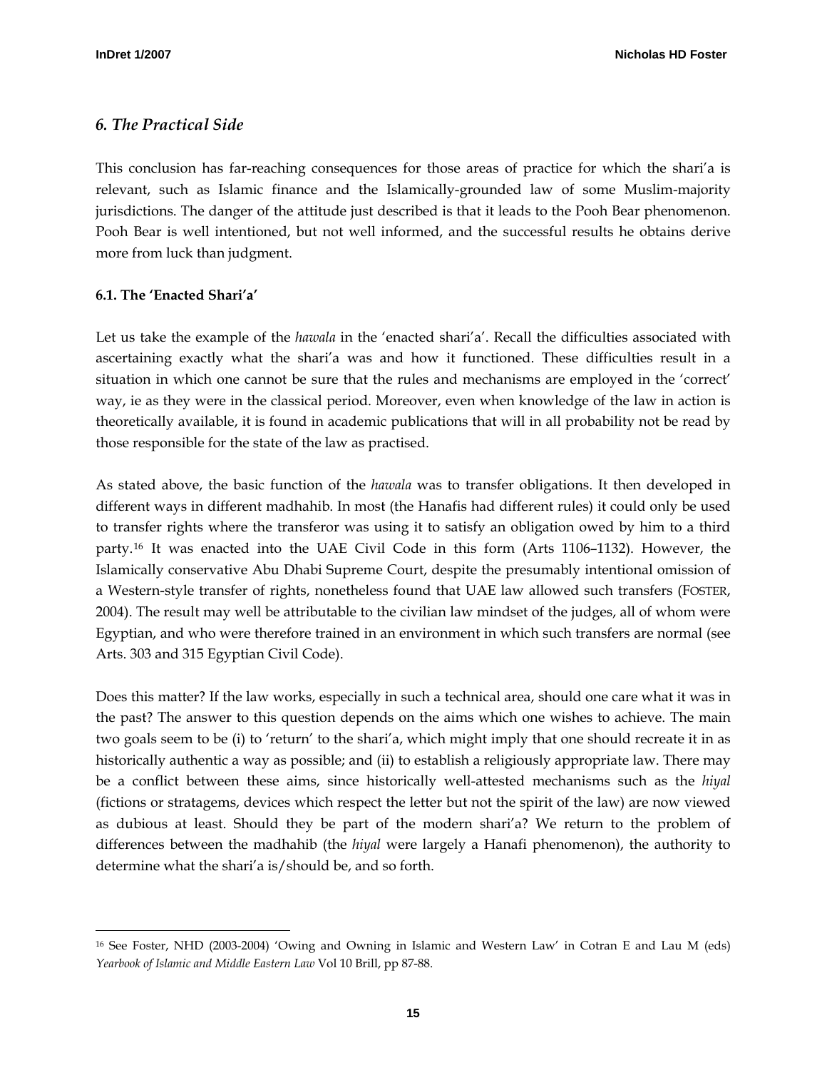## <span id="page-14-0"></span>*6. The Practical Side*

This conclusion has far-reaching consequences for those areas of practice for which the shari'a is relevant, such as Islamic finance and the Islamically-grounded law of some Muslim-majority jurisdictions. The danger of the attitude just described is that it leads to the Pooh Bear phenomenon. Pooh Bear is well intentioned, but not well informed, and the successful results he obtains derive more from luck than judgment.

#### **6.1. The 'Enacted Shari'a'**

Let us take the example of the *hawala* in the 'enacted shari'a'. Recall the difficulties associated with ascertaining exactly what the shari'a was and how it functioned. These difficulties result in a situation in which one cannot be sure that the rules and mechanisms are employed in the 'correct' way, ie as they were in the classical period. Moreover, even when knowledge of the law in action is theoretically available, it is found in academic publications that will in all probability not be read by those responsible for the state of the law as practised.

As stated above, the basic function of the *hawala* was to transfer obligations. It then developed in different ways in different madhahib. In most (the Hanafis had different rules) it could only be used to transfer rights where the transferor was using it to satisfy an obligation owed by him to a third party.[16](#page-14-1) It was enacted into the UAE Civil Code in this form (Arts 1106–1132). However, the Islamically conservative Abu Dhabi Supreme Court, despite the presumably intentional omission of a Western-style transfer of rights, nonetheless found that UAE law allowed such transfers (FOSTER, 2004). The result may well be attributable to the civilian law mindset of the judges, all of whom were Egyptian, and who were therefore trained in an environment in which such transfers are normal (see Arts. 303 and 315 Egyptian Civil Code).

Does this matter? If the law works, especially in such a technical area, should one care what it was in the past? The answer to this question depends on the aims which one wishes to achieve. The main two goals seem to be (i) to 'return' to the shari'a, which might imply that one should recreate it in as historically authentic a way as possible; and (ii) to establish a religiously appropriate law. There may be a conflict between these aims, since historically well-attested mechanisms such as the *hiyal* (fictions or stratagems, devices which respect the letter but not the spirit of the law) are now viewed as dubious at least. Should they be part of the modern shari'a? We return to the problem of differences between the madhahib (the *hiyal* were largely a Hanafi phenomenon), the authority to determine what the shari'a is/should be, and so forth.

<span id="page-14-1"></span> $\overline{a}$ 16 See Foster, NHD (2003-2004) 'Owing and Owning in Islamic and Western Law' in Cotran E and Lau M (eds) *Yearbook of Islamic and Middle Eastern Law* Vol 10 Brill, pp 87-88.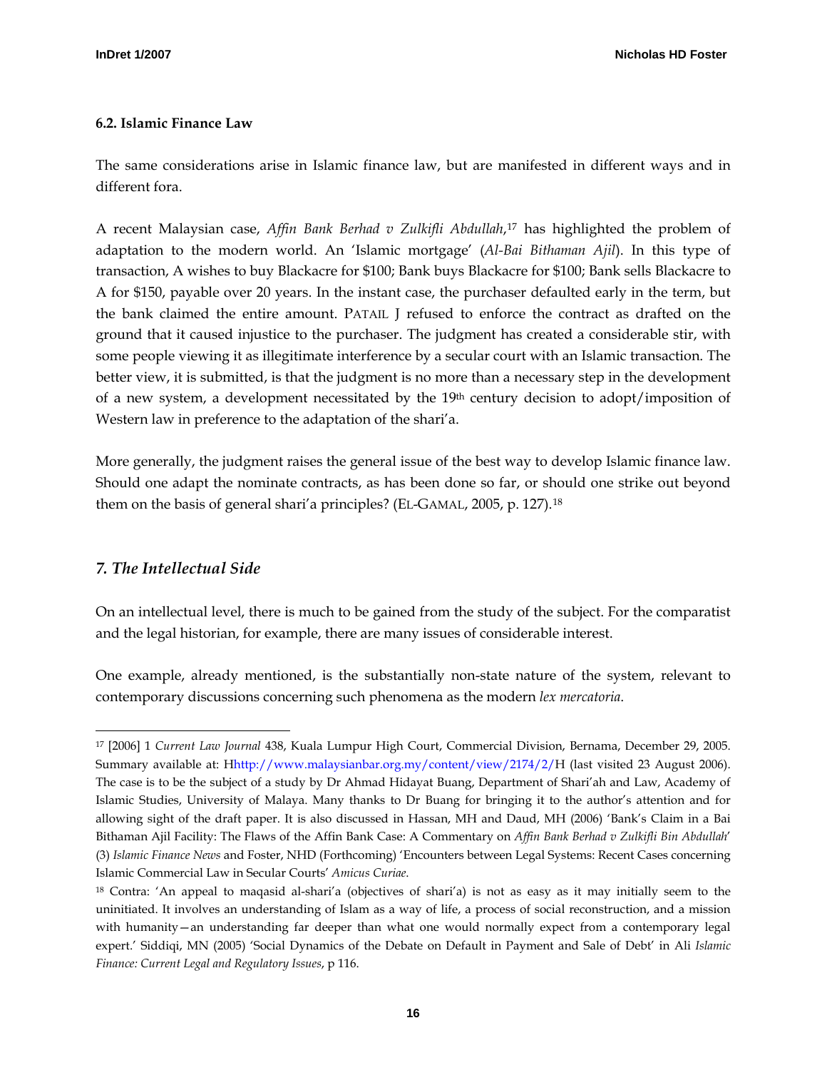#### <span id="page-15-0"></span>**6.2. Islamic Finance Law**

The same considerations arise in Islamic finance law, but are manifested in different ways and in different fora.

A recent Malaysian case, *Affin Bank Berhad v Zulkifli Abdullah*,[17](#page-15-1) has highlighted the problem of adaptation to the modern world. An 'Islamic mortgage' (*Al-Bai Bithaman Ajil*). In this type of transaction, A wishes to buy Blackacre for \$100; Bank buys Blackacre for \$100; Bank sells Blackacre to A for \$150, payable over 20 years. In the instant case, the purchaser defaulted early in the term, but the bank claimed the entire amount. PATAIL J refused to enforce the contract as drafted on the ground that it caused injustice to the purchaser. The judgment has created a considerable stir, with some people viewing it as illegitimate interference by a secular court with an Islamic transaction. The better view, it is submitted, is that the judgment is no more than a necessary step in the development of a new system, a development necessitated by the 19th century decision to adopt/imposition of Western law in preference to the adaptation of the shari'a.

More generally, the judgment raises the general issue of the best way to develop Islamic finance law. Should one adapt the nominate contracts, as has been done so far, or should one strike out beyond them on the basis of general shari'a principles? (EL-GAMAL, 2005, p. 127).[18](#page-15-2)

#### *7. The Intellectual Side*

On an intellectual level, there is much to be gained from the study of the subject. For the comparatist and the legal historian, for example, there are many issues of considerable interest.

One example, already mentioned, is the substantially non-state nature of the system, relevant to contemporary discussions concerning such phenomena as the modern *lex mercatoria*.

<span id="page-15-1"></span>j 17 [2006] 1 *Current Law Journal* 438, Kuala Lumpur High Court, Commercial Division, Bernama, December 29, 2005. Summary available at: Hhttp://www.malaysianbar.org.my/content/view/2174/2/H (last visited 23 August 2006). The case is to be the subject of a study by Dr Ahmad Hidayat Buang, Department of Shari'ah and Law, Academy of Islamic Studies, University of Malaya. Many thanks to Dr Buang for bringing it to the author's attention and for allowing sight of the draft paper. It is also discussed in Hassan, MH and Daud, MH (2006) 'Bank's Claim in a Bai Bithaman Ajil Facility: The Flaws of the Affin Bank Case: A Commentary on *Affin Bank Berhad v Zulkifli Bin Abdullah*' (3) *Islamic Finance News* and Foster, NHD (Forthcoming) 'Encounters between Legal Systems: Recent Cases concerning Islamic Commercial Law in Secular Courts' *Amicus Curiae*.

<span id="page-15-2"></span><sup>18</sup> Contra: 'An appeal to maqasid al-shari'a (objectives of shari'a) is not as easy as it may initially seem to the uninitiated. It involves an understanding of Islam as a way of life, a process of social reconstruction, and a mission with humanity—an understanding far deeper than what one would normally expect from a contemporary legal expert.' Siddiqi, MN (2005) 'Social Dynamics of the Debate on Default in Payment and Sale of Debt' in Ali *Islamic Finance: Current Legal and Regulatory Issues*, p 116.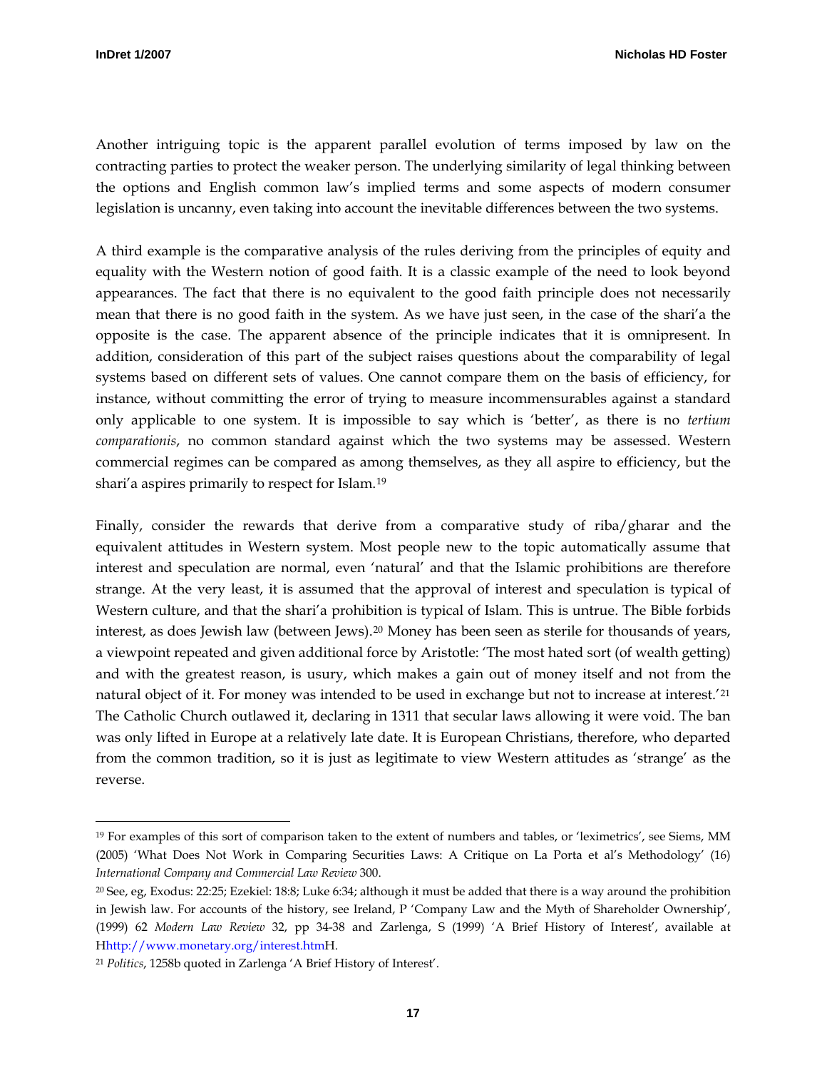j

Another intriguing topic is the apparent parallel evolution of terms imposed by law on the contracting parties to protect the weaker person. The underlying similarity of legal thinking between the options and English common law's implied terms and some aspects of modern consumer legislation is uncanny, even taking into account the inevitable differences between the two systems.

A third example is the comparative analysis of the rules deriving from the principles of equity and equality with the Western notion of good faith. It is a classic example of the need to look beyond appearances. The fact that there is no equivalent to the good faith principle does not necessarily mean that there is no good faith in the system. As we have just seen, in the case of the shari'a the opposite is the case. The apparent absence of the principle indicates that it is omnipresent. In addition, consideration of this part of the subject raises questions about the comparability of legal systems based on different sets of values. One cannot compare them on the basis of efficiency, for instance, without committing the error of trying to measure incommensurables against a standard only applicable to one system. It is impossible to say which is 'better', as there is no *tertium comparationis*, no common standard against which the two systems may be assessed. Western commercial regimes can be compared as among themselves, as they all aspire to efficiency, but the shari'a aspires primarily to respect for Islam.[19](#page-16-0)

Finally, consider the rewards that derive from a comparative study of riba/gharar and the equivalent attitudes in Western system. Most people new to the topic automatically assume that interest and speculation are normal, even 'natural' and that the Islamic prohibitions are therefore strange. At the very least, it is assumed that the approval of interest and speculation is typical of Western culture, and that the shari'a prohibition is typical of Islam. This is untrue. The Bible forbids interest, as does Jewish law (between Jews)[.20](#page-16-1) Money has been seen as sterile for thousands of years, a viewpoint repeated and given additional force by Aristotle: 'The most hated sort (of wealth getting) and with the greatest reason, is usury, which makes a gain out of money itself and not from the natural object of it. For money was intended to be used in exchange but not to increase at interest.<sup>'[21](#page-16-2)</sup> The Catholic Church outlawed it, declaring in 1311 that secular laws allowing it were void. The ban was only lifted in Europe at a relatively late date. It is European Christians, therefore, who departed from the common tradition, so it is just as legitimate to view Western attitudes as 'strange' as the reverse.

<span id="page-16-0"></span><sup>19</sup> For examples of this sort of comparison taken to the extent of numbers and tables, or 'leximetrics', see Siems, MM (2005) 'What Does Not Work in Comparing Securities Laws: A Critique on La Porta et al's Methodology' (16) *International Company and Commercial Law Review* 300.

<span id="page-16-1"></span><sup>20</sup> See, eg, Exodus: 22:25; Ezekiel: 18:8; Luke 6:34; although it must be added that there is a way around the prohibition in Jewish law. For accounts of the history, see Ireland, P 'Company Law and the Myth of Shareholder Ownership', (1999) 62 *Modern Law Review* 32, pp 34-38 and Zarlenga, S (1999) 'A Brief History of Interest', available at Hhttp://www.monetary.org/interest.htmH.

<span id="page-16-2"></span><sup>21</sup> *Politics*, 1258b quoted in Zarlenga 'A Brief History of Interest'.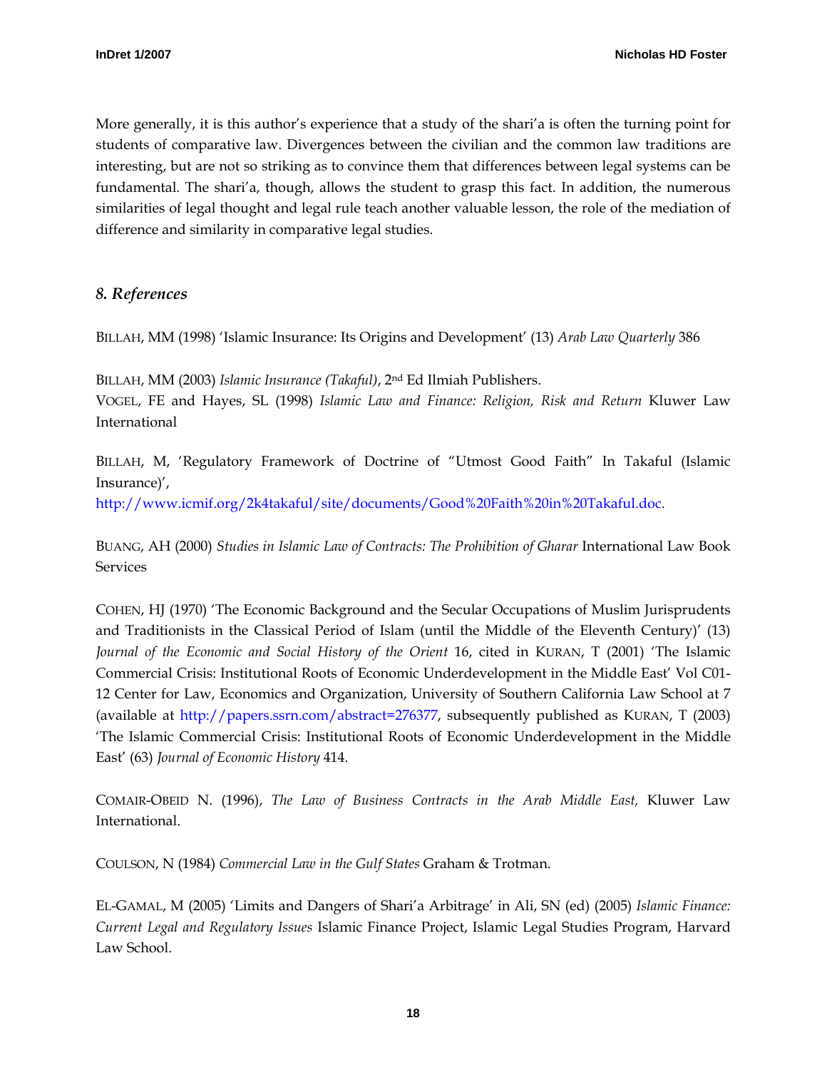<span id="page-17-0"></span>More generally, it is this author's experience that a study of the shari'a is often the turning point for students of comparative law. Divergences between the civilian and the common law traditions are interesting, but are not so striking as to convince them that differences between legal systems can be fundamental. The shari'a, though, allows the student to grasp this fact. In addition, the numerous similarities of legal thought and legal rule teach another valuable lesson, the role of the mediation of difference and similarity in comparative legal studies.

# *8. References*

BILLAH, MM (1998) 'Islamic Insurance: Its Origins and Development' (13) *Arab Law Quarterly* 386

BILLAH, MM (2003) *Islamic Insurance (Takaful)*, 2nd Ed Ilmiah Publishers. VOGEL, FE and Hayes, SL (1998) *Islamic Law and Finance: Religion, Risk and Return* Kluwer Law International

BILLAH, M, 'Regulatory Framework of Doctrine of "Utmost Good Faith" In Takaful (Islamic Insurance)',

[http://www.icmif.org/2k4takaful/site/documents/Good%20Faith%20in%20Takaful.doc.](http://www.icmif.org/2k4takaful/site/documents/Good%20Faith%20in%20Takaful.doc)

BUANG, AH (2000) *Studies in Islamic Law of Contracts: The Prohibition of Gharar* International Law Book Services

COHEN, HJ (1970) 'The Economic Background and the Secular Occupations of Muslim Jurisprudents and Traditionists in the Classical Period of Islam (until the Middle of the Eleventh Century)' (13) *Journal of the Economic and Social History of the Orient* 16, cited in KURAN, T (2001) 'The Islamic Commercial Crisis: Institutional Roots of Economic Underdevelopment in the Middle East' Vol C01- 12 Center for Law, Economics and Organization, University of Southern California Law School at 7 (available at <http://papers.ssrn.com/abstract=276377>, subsequently published as KURAN, T (2003) 'The Islamic Commercial Crisis: Institutional Roots of Economic Underdevelopment in the Middle East' (63) *Journal of Economic History* 414.

COMAIR-OBEID N. (1996), *The Law of Business Contracts in the Arab Middle East,* Kluwer Law International.

COULSON, N (1984) *Commercial Law in the Gulf States* Graham & Trotman.

EL-GAMAL, M (2005) 'Limits and Dangers of Shari'a Arbitrage' in Ali, SN (ed) (2005) *Islamic Finance: Current Legal and Regulatory Issues* Islamic Finance Project, Islamic Legal Studies Program, Harvard Law School.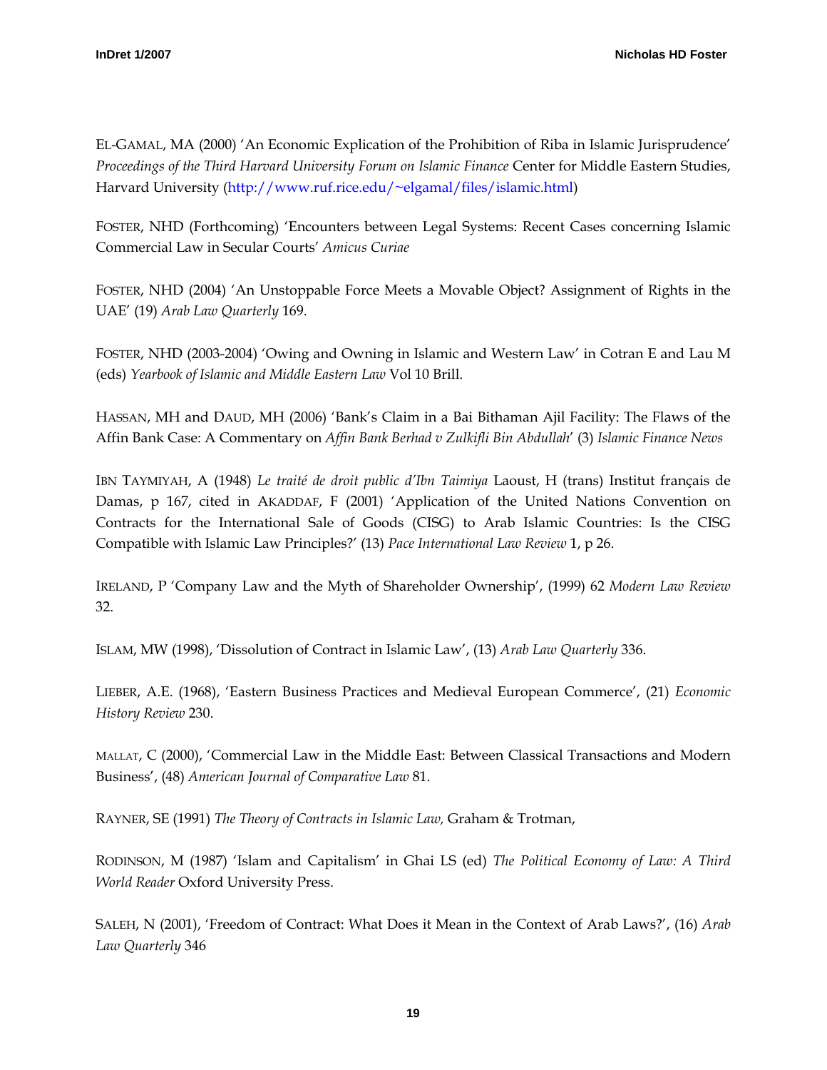EL-GAMAL, MA (2000) 'An Economic Explication of the Prohibition of Riba in Islamic Jurisprudence' *Proceedings of the Third Harvard University Forum on Islamic Finance* Center for Middle Eastern Studies, Harvard University ([http://www.ruf.rice.edu/~elgamal/files/islamic.html\)](http://www.ruf.rice.edu/%7Eelgamal/files/islamic.html)

FOSTER, NHD (Forthcoming) 'Encounters between Legal Systems: Recent Cases concerning Islamic Commercial Law in Secular Courts' *Amicus Curiae* 

FOSTER, NHD (2004) 'An Unstoppable Force Meets a Movable Object? Assignment of Rights in the UAE' (19) *Arab Law Quarterly* 169.

FOSTER, NHD (2003-2004) 'Owing and Owning in Islamic and Western Law' in Cotran E and Lau M (eds) *Yearbook of Islamic and Middle Eastern Law* Vol 10 Brill.

HASSAN, MH and DAUD, MH (2006) 'Bank's Claim in a Bai Bithaman Ajil Facility: The Flaws of the Affin Bank Case: A Commentary on *Affin Bank Berhad v Zulkifli Bin Abdullah*' (3) *Islamic Finance News*

IBN TAYMIYAH, A (1948) *Le traité de droit public d'Ibn Taimiya* Laoust, H (trans) Institut français de Damas, p 167, cited in AKADDAF, F (2001) 'Application of the United Nations Convention on Contracts for the International Sale of Goods (CISG) to Arab Islamic Countries: Is the CISG Compatible with Islamic Law Principles?' (13) *Pace International Law Review* 1, p 26.

IRELAND, P 'Company Law and the Myth of Shareholder Ownership', (1999) 62 *Modern Law Review* 32.

ISLAM, MW (1998), 'Dissolution of Contract in Islamic Law', (13) *Arab Law Quarterly* 336.

LIEBER, A.E. (1968), 'Eastern Business Practices and Medieval European Commerce', (21) *Economic History Review* 230.

MALLAT, C (2000), 'Commercial Law in the Middle East: Between Classical Transactions and Modern Business', (48) *American Journal of Comparative Law* 81.

RAYNER, SE (1991) *The Theory of Contracts in Islamic Law,* Graham & Trotman,

RODINSON, M (1987) 'Islam and Capitalism' in Ghai LS (ed) *The Political Economy of Law: A Third World Reader* Oxford University Press.

SALEH, N (2001), 'Freedom of Contract: What Does it Mean in the Context of Arab Laws?', (16) *Arab Law Quarterly* 346